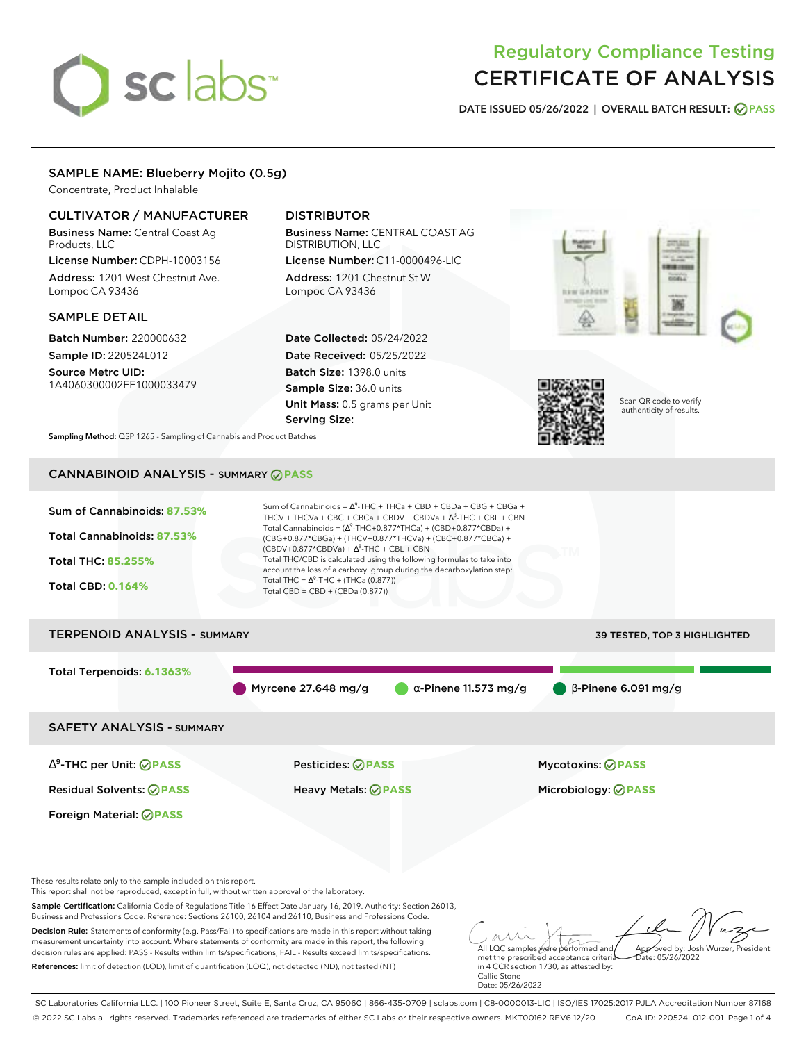# sclabs<sup>\*</sup>

# Regulatory Compliance Testing CERTIFICATE OF ANALYSIS

**DATE ISSUED 05/26/2022 | OVERALL BATCH RESULT: PASS**

# SAMPLE NAME: Blueberry Mojito (0.5g)

Concentrate, Product Inhalable

# CULTIVATOR / MANUFACTURER

Business Name: Central Coast Ag Products, LLC

License Number: CDPH-10003156 Address: 1201 West Chestnut Ave. Lompoc CA 93436

# SAMPLE DETAIL

Batch Number: 220000632 Sample ID: 220524L012

Source Metrc UID: 1A4060300002EE1000033479

# DISTRIBUTOR

Business Name: CENTRAL COAST AG DISTRIBUTION, LLC License Number: C11-0000496-LIC

Address: 1201 Chestnut St W Lompoc CA 93436

Date Collected: 05/24/2022 Date Received: 05/25/2022 Batch Size: 1398.0 units Sample Size: 36.0 units Unit Mass: 0.5 grams per Unit Serving Size:





Scan QR code to verify authenticity of results.

**Sampling Method:** QSP 1265 - Sampling of Cannabis and Product Batches

# CANNABINOID ANALYSIS - SUMMARY **PASS**

| Sum of Cannabinoids: 87.53%<br>Total Cannabinoids: 87.53%<br><b>Total THC: 85.255%</b><br><b>Total CBD: 0.164%</b> | $(CBDV+0.877*CBDVa) + \Delta^8$ -THC + CBL + CBN<br>Total THC = $\Delta^9$ -THC + (THCa (0.877))<br>Total CBD = $CBD + (CBDa (0.877))$ | Sum of Cannabinoids = $\Delta^9$ -THC + THCa + CBD + CBDa + CBG + CBGa +<br>THCV + THCVa + CBC + CBCa + CBDV + CBDVa + $\Delta^8$ -THC + CBL + CBN<br>Total Cannabinoids = $(\Delta^9$ -THC+0.877*THCa) + (CBD+0.877*CBDa) +<br>(CBG+0.877*CBGa) + (THCV+0.877*THCVa) + (CBC+0.877*CBCa) +<br>Total THC/CBD is calculated using the following formulas to take into<br>account the loss of a carboxyl group during the decarboxylation step: |                                     |
|--------------------------------------------------------------------------------------------------------------------|----------------------------------------------------------------------------------------------------------------------------------------|----------------------------------------------------------------------------------------------------------------------------------------------------------------------------------------------------------------------------------------------------------------------------------------------------------------------------------------------------------------------------------------------------------------------------------------------|-------------------------------------|
| <b>TERPENOID ANALYSIS - SUMMARY</b>                                                                                |                                                                                                                                        |                                                                                                                                                                                                                                                                                                                                                                                                                                              | <b>39 TESTED, TOP 3 HIGHLIGHTED</b> |
| Total Terpenoids: 6.1363%                                                                                          | Myrcene 27.648 mg/g                                                                                                                    | $\alpha$ -Pinene 11.573 mg/g                                                                                                                                                                                                                                                                                                                                                                                                                 | $\bigcirc$ B-Pinene 6.091 mg/g      |
| <b>SAFETY ANALYSIS - SUMMARY</b>                                                                                   |                                                                                                                                        |                                                                                                                                                                                                                                                                                                                                                                                                                                              |                                     |

∆ 9 -THC per Unit: **PASS** Pesticides: **PASS** Mycotoxins: **PASS**

Foreign Material: **PASS**

Residual Solvents: **PASS** Heavy Metals: **PASS** Microbiology: **PASS**

These results relate only to the sample included on this report.

This report shall not be reproduced, except in full, without written approval of the laboratory.

Sample Certification: California Code of Regulations Title 16 Effect Date January 16, 2019. Authority: Section 26013, Business and Professions Code. Reference: Sections 26100, 26104 and 26110, Business and Professions Code.

Decision Rule: Statements of conformity (e.g. Pass/Fail) to specifications are made in this report without taking measurement uncertainty into account. Where statements of conformity are made in this report, the following decision rules are applied: PASS - Results within limits/specifications, FAIL - Results exceed limits/specifications. References: limit of detection (LOD), limit of quantification (LOQ), not detected (ND), not tested (NT)

All LQC samples were performed and met the prescribed acceptance criteria Approved by: Josh Wurzer, President  $hat: 05/26/2022$ 

in 4 CCR section 1730, as attested by: Callie Stone Date: 05/26/2022

SC Laboratories California LLC. | 100 Pioneer Street, Suite E, Santa Cruz, CA 95060 | 866-435-0709 | sclabs.com | C8-0000013-LIC | ISO/IES 17025:2017 PJLA Accreditation Number 87168 © 2022 SC Labs all rights reserved. Trademarks referenced are trademarks of either SC Labs or their respective owners. MKT00162 REV6 12/20 CoA ID: 220524L012-001 Page 1 of 4